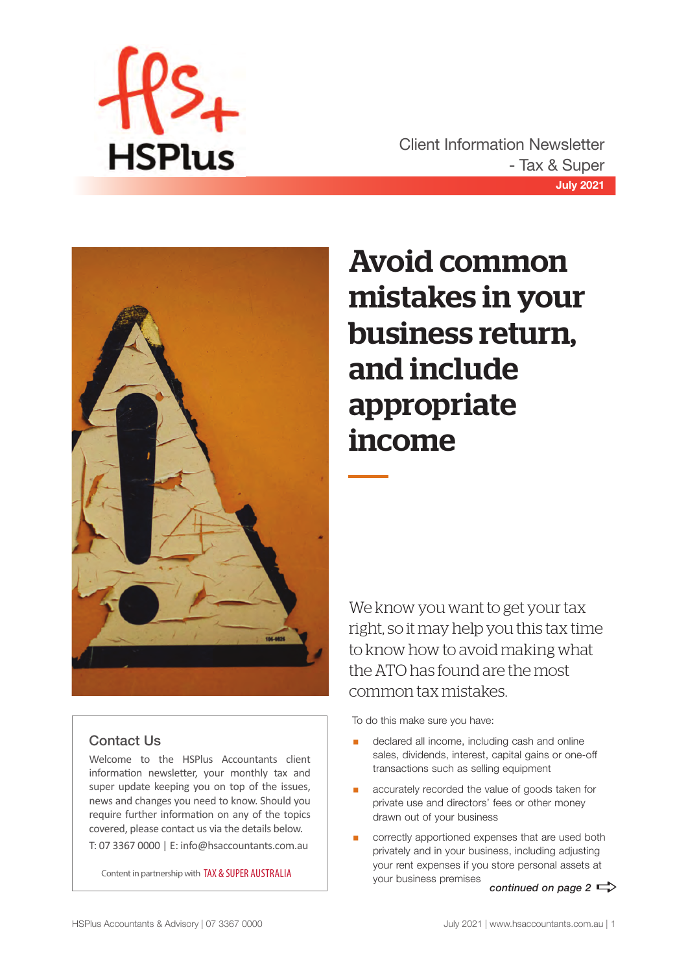

**July 2021** Client Information Newsletter - Tax & Super





## Contact Us

Welcome to the HSPlus Accountants client information newsletter, your monthly tax and super update keeping you on top of the issues, news and changes you need to know. Should you require further information on any of the topics covered, please contact us via the details below. T: 07 3367 0000 | E: info@hsaccountants.com.au

Content in partnership with TAX & SUPER AUSTRALIA

## Avoid common mistakes in your business return, and include appropriate income

We know you want to get your tax right, so it may help you this tax time to know how to avoid making what the ATO has found are the most common tax mistakes.

To do this make sure you have:

- declared all income, including cash and online sales, dividends, interest, capital gains or one-off transactions such as selling equipment
- accurately recorded the value of goods taken for private use and directors' fees or other money drawn out of your business
- correctly apportioned expenses that are used both privately and in your business, including adjusting your rent expenses if you store personal assets at your business premises *continued on page 2*  $\Rightarrow$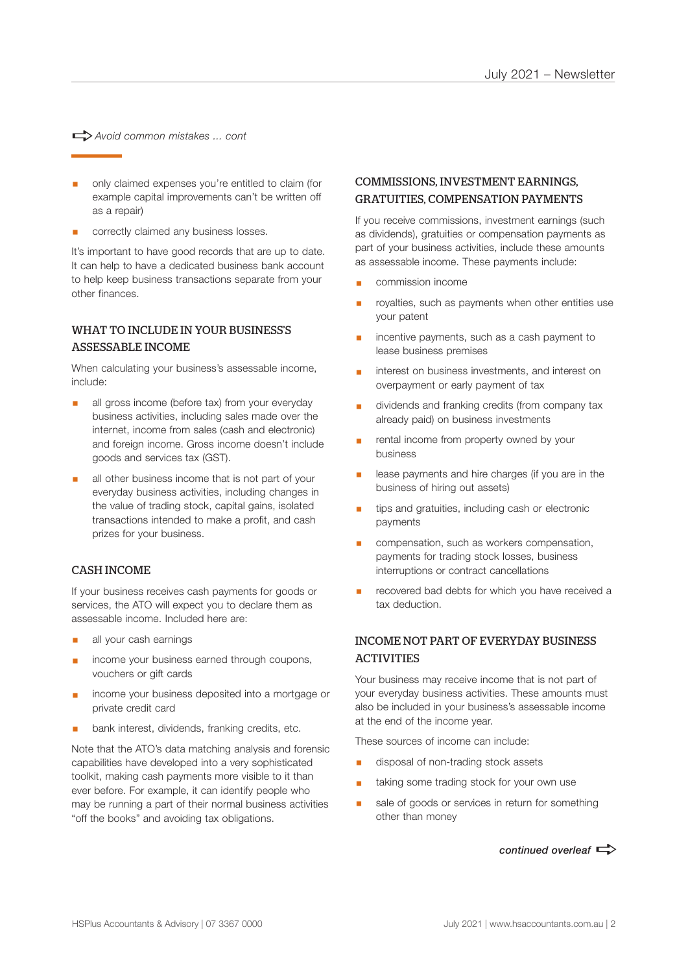a*Avoid common mistakes ... cont*

- § only claimed expenses you're entitled to claim (for example capital improvements can't be written off as a repair)
- § correctly claimed any business losses.

It's important to have good records that are up to date. It can help to have a dedicated business bank account to help keep business transactions separate from your other finances.

### WHAT TO INCLUDE IN YOUR BUSINESS'S ASSESSABLE INCOME

When calculating your business's assessable income, include:

- all gross income (before tax) from your everyday business activities, including sales made over the internet, income from sales (cash and electronic) and foreign income. Gross income doesn't include goods and services tax (GST).
- all other business income that is not part of your everyday business activities, including changes in the value of trading stock, capital gains, isolated transactions intended to make a profit, and cash prizes for your business.

#### CASH INCOME

If your business receives cash payments for goods or services, the ATO will expect you to declare them as assessable income. Included here are:

- all your cash earnings
- income your business earned through coupons, vouchers or gift cards
- § income your business deposited into a mortgage or private credit card
- bank interest, dividends, franking credits, etc.

Note that the ATO's data matching analysis and forensic capabilities have developed into a very sophisticated toolkit, making cash payments more visible to it than ever before. For example, it can identify people who may be running a part of their normal business activities "off the books" and avoiding tax obligations.

### COMMISSIONS, INVESTMENT EARNINGS, GRATUITIES, COMPENSATION PAYMENTS

If you receive commissions, investment earnings (such as dividends), gratuities or compensation payments as part of your business activities, include these amounts as assessable income. These payments include:

- § commission income
- royalties, such as payments when other entities use your patent
- incentive payments, such as a cash payment to lease business premises
- interest on business investments, and interest on overpayment or early payment of tax
- § dividends and franking credits (from company tax already paid) on business investments
- rental income from property owned by your business
- lease payments and hire charges (if you are in the business of hiring out assets)
- tips and gratuities, including cash or electronic payments
- compensation, such as workers compensation, payments for trading stock losses, business interruptions or contract cancellations
- recovered bad debts for which you have received a tax deduction.

### INCOME NOT PART OF EVERYDAY BUSINESS **ACTIVITIES**

Your business may receive income that is not part of your everyday business activities. These amounts must also be included in your business's assessable income at the end of the income year.

These sources of income can include:

- § disposal of non-trading stock assets
- taking some trading stock for your own use
- sale of goods or services in return for something other than money

*continued overleaf*  $\Rightarrow$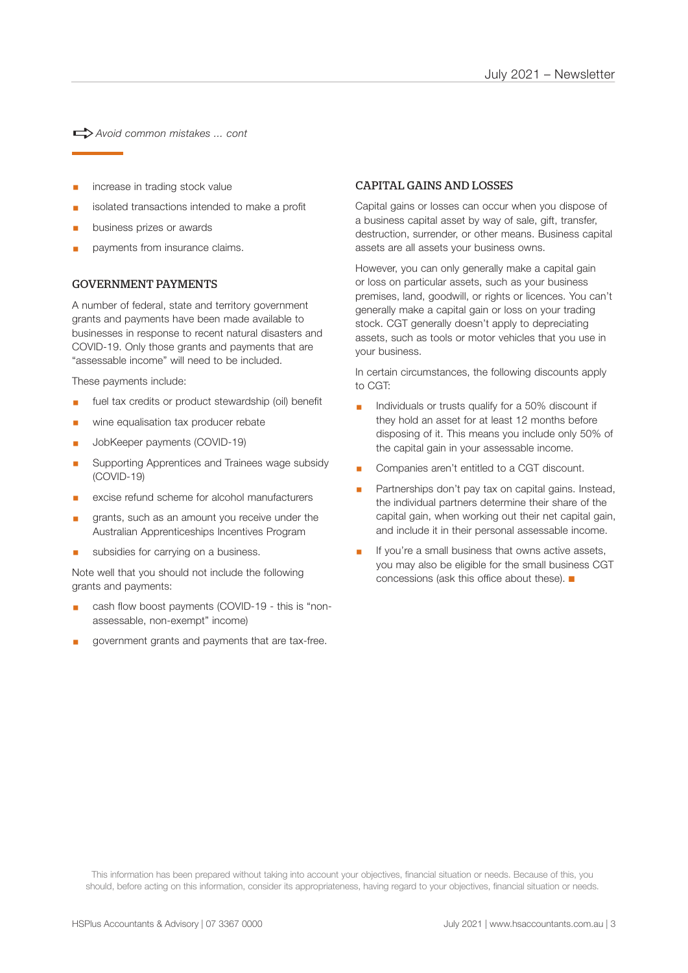a*Avoid common mistakes ... cont*

- increase in trading stock value
- isolated transactions intended to make a profit
- § business prizes or awards
- § payments from insurance claims.

#### GOVERNMENT PAYMENTS

A number of federal, state and territory government grants and payments have been made available to businesses in response to recent natural disasters and COVID-19. Only those grants and payments that are "assessable income" will need to be included.

These payments include:

- fuel tax credits or product stewardship (oil) benefit
- wine equalisation tax producer rebate
- § JobKeeper payments (COVID-19)
- § Supporting Apprentices and Trainees wage subsidy (COVID-19)
- excise refund scheme for alcohol manufacturers
- grants, such as an amount you receive under the Australian Apprenticeships Incentives Program
- § subsidies for carrying on a business.

Note well that you should not include the following grants and payments:

- cash flow boost payments (COVID-19 this is "nonassessable, non-exempt" income)
- § government grants and payments that are tax-free.

#### CAPITAL GAINS AND LOSSES

Capital gains or losses can occur when you dispose of a business capital asset by way of sale, gift, transfer, destruction, surrender, or other means. Business capital assets are all assets your business owns.

However, you can only generally make a capital gain or loss on particular assets, such as your business premises, land, goodwill, or rights or licences. You can't generally make a capital gain or loss on your trading stock. CGT generally doesn't apply to depreciating assets, such as tools or motor vehicles that you use in your business.

In certain circumstances, the following discounts apply to CGT:

- Individuals or trusts qualify for a 50% discount if they hold an asset for at least 12 months before disposing of it. This means you include only 50% of the capital gain in your assessable income.
- § Companies aren't entitled to a CGT discount.
- Partnerships don't pay tax on capital gains. Instead, the individual partners determine their share of the capital gain, when working out their net capital gain, and include it in their personal assessable income.
- If you're a small business that owns active assets, you may also be eligible for the small business CGT concessions (ask this office about these).  $\blacksquare$

This information has been prepared without taking into account your objectives, financial situation or needs. Because of this, you should, before acting on this information, consider its appropriateness, having regard to your objectives, financial situation or needs.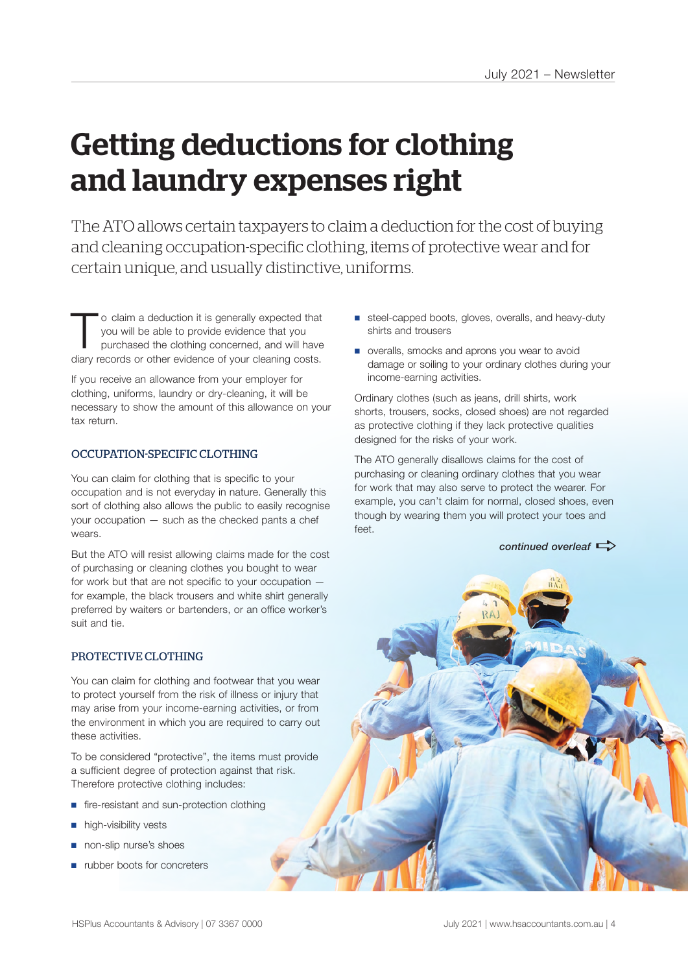## Getting deductions for clothing and laundry expenses right

The ATO allows certain taxpayers to claim a deduction for the cost of buying and cleaning occupation-specific clothing, items of protective wear and for certain unique, and usually distinctive, uniforms.

To claim a deduction it is generally expected that you will be able to provide evidence that you purchased the clothing concerned, and will have you will be able to provide evidence that you diary records or other evidence of your cleaning costs.

If you receive an allowance from your employer for clothing, uniforms, laundry or dry-cleaning, it will be necessary to show the amount of this allowance on your tax return.

#### OCCUPATION-SPECIFIC CLOTHING

You can claim for clothing that is specific to your occupation and is not everyday in nature. Generally this sort of clothing also allows the public to easily recognise your occupation — such as the checked pants a chef wears.

But the ATO will resist allowing claims made for the cost of purchasing or cleaning clothes you bought to wear for work but that are not specific to your occupation for example, the black trousers and white shirt generally preferred by waiters or bartenders, or an office worker's suit and tie.

#### PROTECTIVE CLOTHING

You can claim for clothing and footwear that you wear to protect yourself from the risk of illness or injury that may arise from your income-earning activities, or from the environment in which you are required to carry out these activities.

To be considered "protective", the items must provide a sufficient degree of protection against that risk. Therefore protective clothing includes:

- fire-resistant and sun-protection clothing
- high-visibility vests
- non-slip nurse's shoes
- rubber boots for concreters
- steel-capped boots, gloves, overalls, and heavy-duty shirts and trousers
- overalls, smocks and aprons you wear to avoid damage or soiling to your ordinary clothes during your income-earning activities.

Ordinary clothes (such as jeans, drill shirts, work shorts, trousers, socks, closed shoes) are not regarded as protective clothing if they lack protective qualities designed for the risks of your work.

The ATO generally disallows claims for the cost of purchasing or cleaning ordinary clothes that you wear for work that may also serve to protect the wearer. For example, you can't claim for normal, closed shoes, even though by wearing them you will protect your toes and feet.

*continued overleaf*  $\Rightarrow$ 

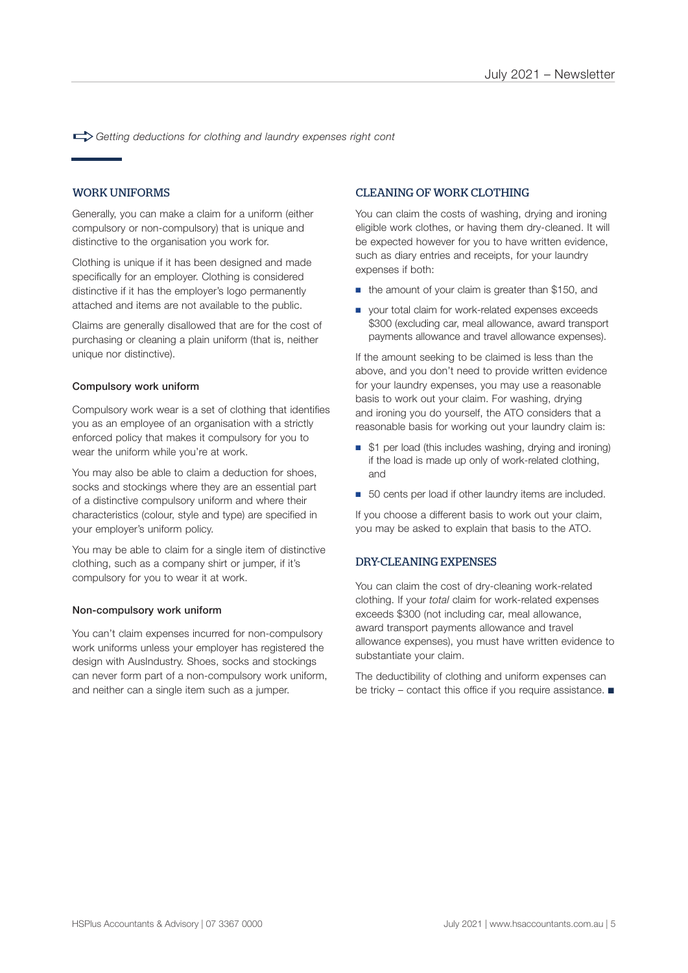a*Getting deductions for clothing and laundry expenses right cont*

#### WORK UNIFORMS

Generally, you can make a claim for a uniform (either compulsory or non-compulsory) that is unique and distinctive to the organisation you work for.

Clothing is unique if it has been designed and made specifically for an employer. Clothing is considered distinctive if it has the employer's logo permanently attached and items are not available to the public.

Claims are generally disallowed that are for the cost of purchasing or cleaning a plain uniform (that is, neither unique nor distinctive).

#### Compulsory work uniform

Compulsory work wear is a set of clothing that identifies you as an employee of an organisation with a strictly enforced policy that makes it compulsory for you to wear the uniform while you're at work.

You may also be able to claim a deduction for shoes, socks and stockings where they are an essential part of a distinctive compulsory uniform and where their characteristics (colour, style and type) are specified in your employer's uniform policy.

You may be able to claim for a single item of distinctive clothing, such as a company shirt or jumper, if it's compulsory for you to wear it at work.

#### Non-compulsory work uniform

You can't claim expenses incurred for non-compulsory work uniforms unless your employer has registered the design with AusIndustry. Shoes, socks and stockings can never form part of a non-compulsory work uniform, and neither can a single item such as a jumper.

#### CLEANING OF WORK CLOTHING

You can claim the costs of washing, drying and ironing eligible work clothes, or having them dry-cleaned. It will be expected however for you to have written evidence, such as diary entries and receipts, for your laundry expenses if both:

- the amount of your claim is greater than \$150, and
- your total claim for work-related expenses exceeds \$300 (excluding car, meal allowance, award transport payments allowance and travel allowance expenses).

If the amount seeking to be claimed is less than the above, and you don't need to provide written evidence for your laundry expenses, you may use a reasonable basis to work out your claim. For washing, drying and ironing you do yourself, the ATO considers that a reasonable basis for working out your laundry claim is:

- \$1 per load (this includes washing, drying and ironing) if the load is made up only of work-related clothing, and
- 50 cents per load if other laundry items are included.

If you choose a different basis to work out your claim, you may be asked to explain that basis to the ATO.

#### DRY-CLEANING EXPENSES

You can claim the cost of dry-cleaning work-related clothing. If your *total* claim for work-related expenses exceeds \$300 (not including car, meal allowance, award transport payments allowance and travel allowance expenses), you must have written evidence to substantiate your claim.

The deductibility of clothing and uniform expenses can be tricky – contact this office if you require assistance.  $\blacksquare$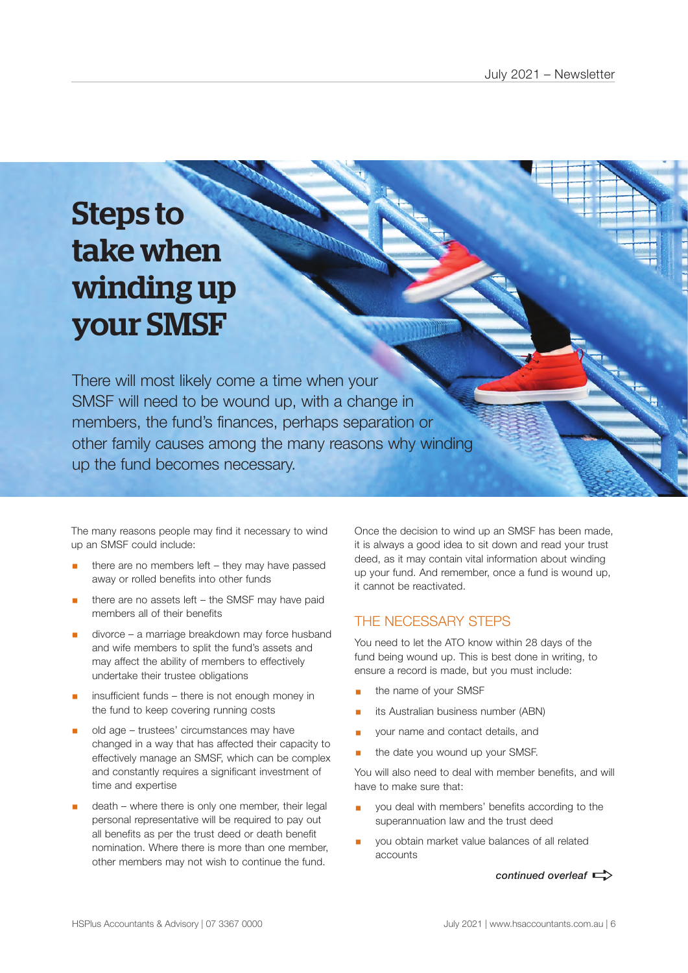# Steps to take when winding up your SMSF

There will most likely come a time when your SMSF will need to be wound up, with a change in members, the fund's finances, perhaps separation or other family causes among the many reasons why winding up the fund becomes necessary.

The many reasons people may find it necessary to wind up an SMSF could include:

- there are no members left they may have passed away or rolled benefits into other funds
- there are no assets left the SMSF may have paid members all of their benefits
- divorce a marriage breakdown may force husband and wife members to split the fund's assets and may affect the ability of members to effectively undertake their trustee obligations
- insufficient funds there is not enough money in the fund to keep covering running costs
- § old age trustees' circumstances may have changed in a way that has affected their capacity to effectively manage an SMSF, which can be complex and constantly requires a significant investment of time and expertise
- death where there is only one member, their legal personal representative will be required to pay out all benefits as per the trust deed or death benefit nomination. Where there is more than one member, other members may not wish to continue the fund.

Once the decision to wind up an SMSF has been made, it is always a good idea to sit down and read your trust deed, as it may contain vital information about winding up your fund. And remember, once a fund is wound up, it cannot be reactivated.

## THE NECESSARY STEPS

You need to let the ATO know within 28 days of the fund being wound up. This is best done in writing, to ensure a record is made, but you must include:

- § the name of your SMSF
- its Australian business number (ABN)
- § your name and contact details, and
- the date you wound up your SMSF.

You will also need to deal with member benefits, and will have to make sure that:

- you deal with members' benefits according to the superannuation law and the trust deed
- § you obtain market value balances of all related accounts

*continued overleaf*  $\Rightarrow$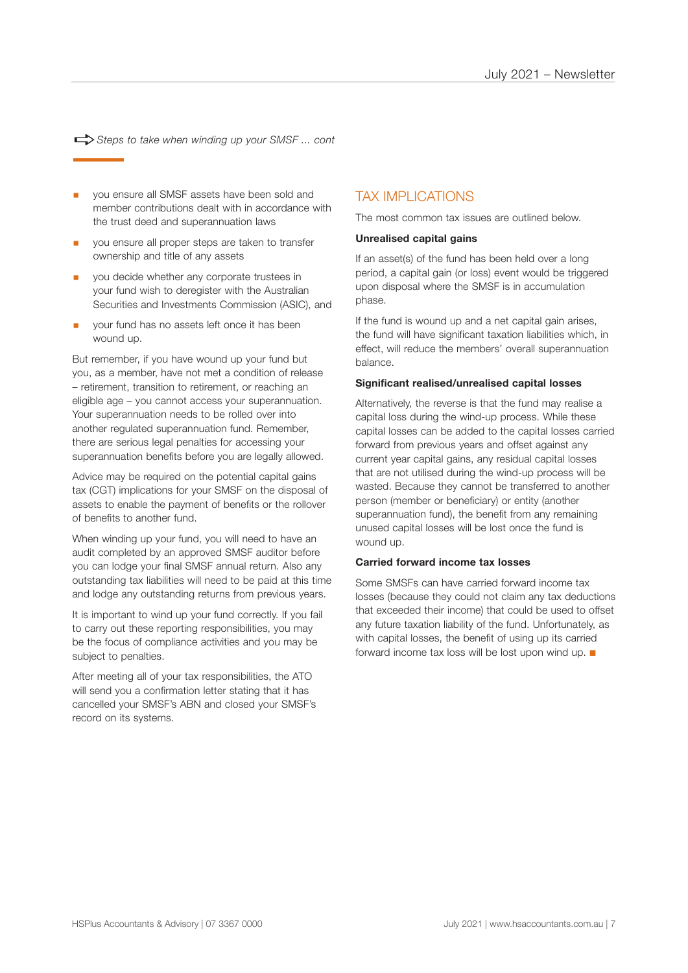$\Rightarrow$  Steps to take when winding up your SMSF ... cont

- you ensure all SMSF assets have been sold and member contributions dealt with in accordance with the trust deed and superannuation laws
- § you ensure all proper steps are taken to transfer ownership and title of any assets
- § you decide whether any corporate trustees in your fund wish to deregister with the Australian Securities and Investments Commission (ASIC), and
- § your fund has no assets left once it has been wound up.

But remember, if you have wound up your fund but you, as a member, have not met a condition of release – retirement, transition to retirement, or reaching an eligible age – you cannot access your superannuation. Your superannuation needs to be rolled over into another regulated superannuation fund. Remember, there are serious legal penalties for accessing your superannuation benefits before you are legally allowed.

Advice may be required on the potential capital gains tax (CGT) implications for your SMSF on the disposal of assets to enable the payment of benefits or the rollover of benefits to another fund.

When winding up your fund, you will need to have an audit completed by an approved SMSF auditor before you can lodge your final SMSF annual return. Also any outstanding tax liabilities will need to be paid at this time and lodge any outstanding returns from previous years.

It is important to wind up your fund correctly. If you fail to carry out these reporting responsibilities, you may be the focus of compliance activities and you may be subject to penalties.

After meeting all of your tax responsibilities, the ATO will send you a confirmation letter stating that it has cancelled your SMSF's ABN and closed your SMSF's record on its systems.

## TAX IMPLICATIONS

The most common tax issues are outlined below.

#### **Unrealised capital gains**

If an asset(s) of the fund has been held over a long period, a capital gain (or loss) event would be triggered upon disposal where the SMSF is in accumulation phase.

If the fund is wound up and a net capital gain arises, the fund will have significant taxation liabilities which, in effect, will reduce the members' overall superannuation balance.

#### **Significant realised/unrealised capital losses**

Alternatively, the reverse is that the fund may realise a capital loss during the wind-up process. While these capital losses can be added to the capital losses carried forward from previous years and offset against any current year capital gains, any residual capital losses that are not utilised during the wind-up process will be wasted. Because they cannot be transferred to another person (member or beneficiary) or entity (another superannuation fund), the benefit from any remaining unused capital losses will be lost once the fund is wound up.

#### **Carried forward income tax losses**

Some SMSFs can have carried forward income tax losses (because they could not claim any tax deductions that exceeded their income) that could be used to offset any future taxation liability of the fund. Unfortunately, as with capital losses, the benefit of using up its carried forward income tax loss will be lost upon wind up.  $\blacksquare$